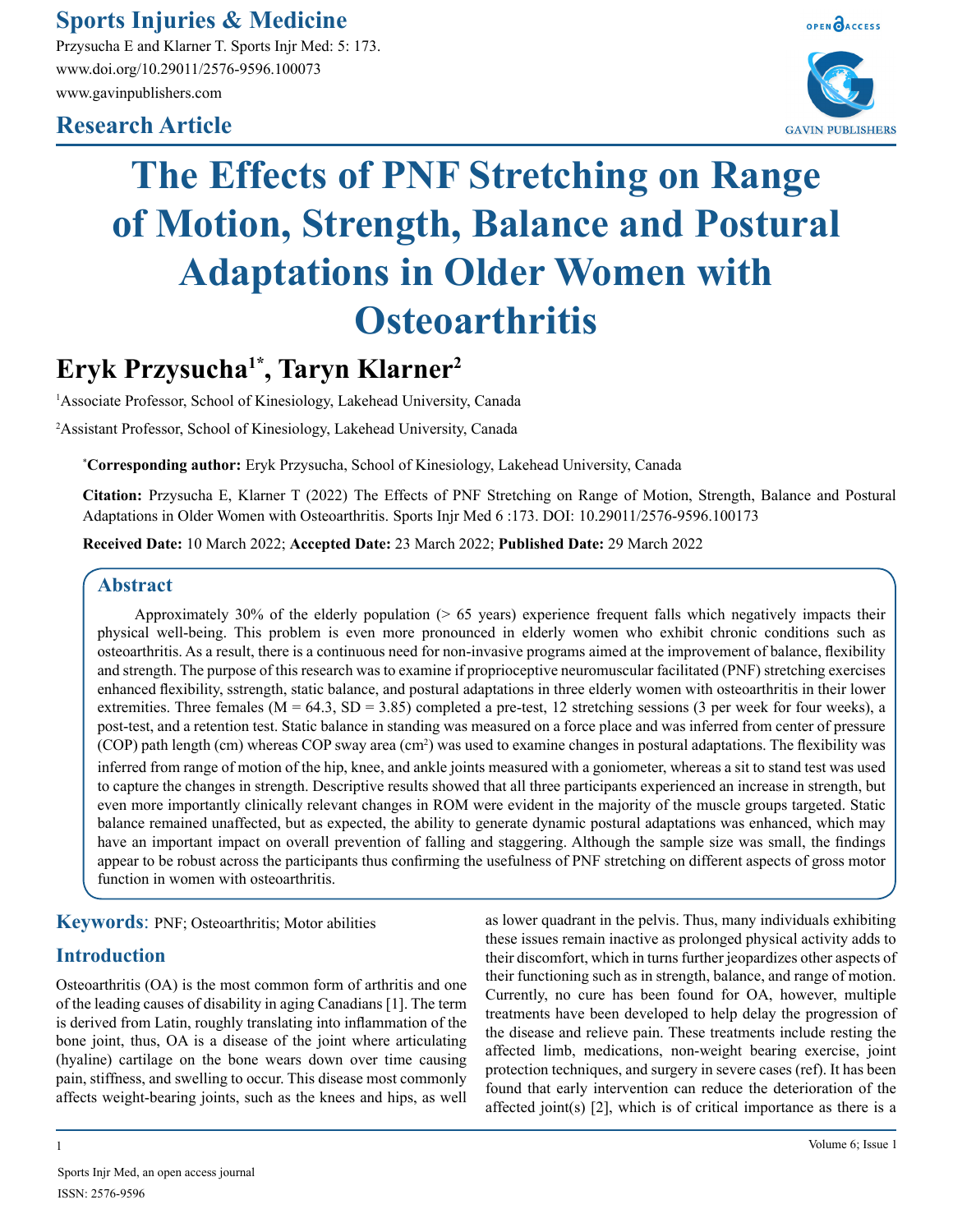**Sports Injuries & Medicine**

Przysucha E and Klarner T. Sports Injr Med: 5: 173. www.doi.org/10.29011/2576-9596.100073 www.gavinpublishers.com

# **Research Article**



# **The Effects of PNF Stretching on Range of Motion, Strength, Balance and Postural Adaptations in Older Women with Osteoarthritis**

# **Eryk Przysucha1\*, Taryn Klarner2**

<sup>1</sup>Associate Professor, School of Kinesiology, Lakehead University, Canada

2 Assistant Professor, School of Kinesiology, Lakehead University, Canada

\* **Corresponding author:** Eryk Przysucha, School of Kinesiology, Lakehead University, Canada

**Citation:** Przysucha E, Klarner T (2022) The Effects of PNF Stretching on Range of Motion, Strength, Balance and Postural Adaptations in Older Women with Osteoarthritis. Sports Injr Med 6 :173. DOI: 10.29011/2576-9596.100173

**Received Date:** 10 March 2022; **Accepted Date:** 23 March 2022; **Published Date:** 29 March 2022

#### **Abstract**

Approximately 30% of the elderly population (> 65 years) experience frequent falls which negatively impacts their physical well-being. This problem is even more pronounced in elderly women who exhibit chronic conditions such as osteoarthritis. As a result, there is a continuous need for non-invasive programs aimed at the improvement of balance, flexibility and strength. The purpose of this research was to examine if proprioceptive neuromuscular facilitated (PNF) stretching exercises enhanced flexibility, sstrength, static balance, and postural adaptations in three elderly women with osteoarthritis in their lower extremities. Three females ( $M = 64.3$ ,  $SD = 3.85$ ) completed a pre-test, 12 stretching sessions (3 per week for four weeks), a post-test, and a retention test. Static balance in standing was measured on a force place and was inferred from center of pressure (COP) path length (cm) whereas COP sway area (cm<sup>2</sup>) was used to examine changes in postural adaptations. The flexibility was inferred from range of motion of the hip, knee, and ankle joints measured with a goniometer, whereas a sit to stand test was used to capture the changes in strength. Descriptive results showed that all three participants experienced an increase in strength, but even more importantly clinically relevant changes in ROM were evident in the majority of the muscle groups targeted. Static balance remained unaffected, but as expected, the ability to generate dynamic postural adaptations was enhanced, which may have an important impact on overall prevention of falling and staggering. Although the sample size was small, the findings appear to be robust across the participants thus confirming the usefulness of PNF stretching on different aspects of gross motor function in women with osteoarthritis.

**Keywords**: PNF; Osteoarthritis; Motor abilities

## **Introduction**

Osteoarthritis (OA) is the most common form of arthritis and one of the leading causes of disability in aging Canadians [1]. The term is derived from Latin, roughly translating into inflammation of the bone joint, thus, OA is a disease of the joint where articulating (hyaline) cartilage on the bone wears down over time causing pain, stiffness, and swelling to occur. This disease most commonly affects weight-bearing joints, such as the knees and hips, as well

as lower quadrant in the pelvis. Thus, many individuals exhibiting these issues remain inactive as prolonged physical activity adds to their discomfort, which in turns further jeopardizes other aspects of their functioning such as in strength, balance, and range of motion. Currently, no cure has been found for OA, however, multiple treatments have been developed to help delay the progression of the disease and relieve pain. These treatments include resting the affected limb, medications, non-weight bearing exercise, joint protection techniques, and surgery in severe cases (ref). It has been found that early intervention can reduce the deterioration of the affected joint(s) [2], which is of critical importance as there is a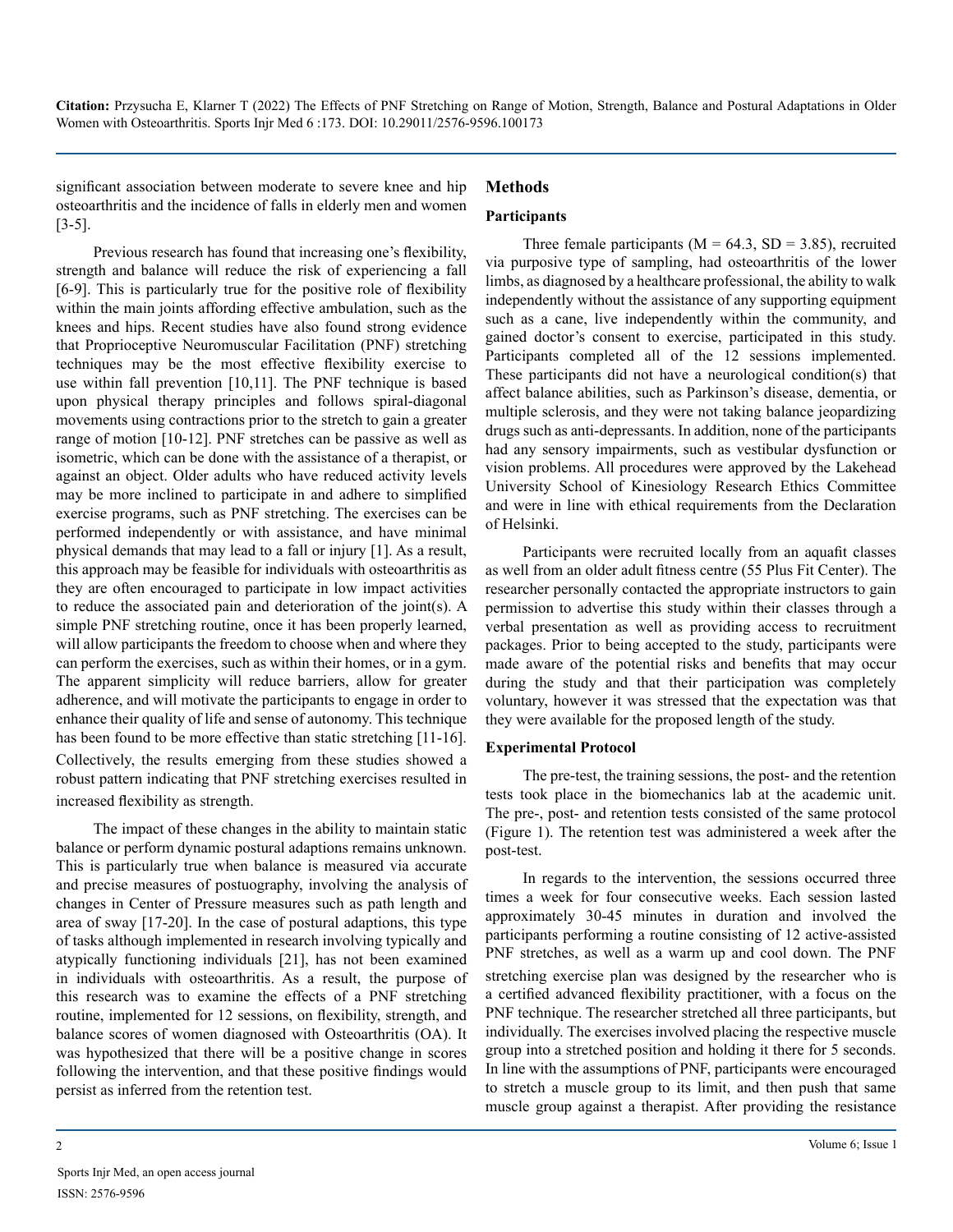significant association between moderate to severe knee and hip osteoarthritis and the incidence of falls in elderly men and women [3-5].

#### **Methods**

#### **Participants**

Previous research has found that increasing one's flexibility, strength and balance will reduce the risk of experiencing a fall [6-9]. This is particularly true for the positive role of flexibility within the main joints affording effective ambulation, such as the knees and hips. Recent studies have also found strong evidence that Proprioceptive Neuromuscular Facilitation (PNF) stretching techniques may be the most effective flexibility exercise to use within fall prevention [10,11]. The PNF technique is based upon physical therapy principles and follows spiral-diagonal movements using contractions prior to the stretch to gain a greater range of motion [10-12]. PNF stretches can be passive as well as isometric, which can be done with the assistance of a therapist, or against an object. Older adults who have reduced activity levels may be more inclined to participate in and adhere to simplified exercise programs, such as PNF stretching. The exercises can be performed independently or with assistance, and have minimal physical demands that may lead to a fall or injury [1]. As a result, this approach may be feasible for individuals with osteoarthritis as they are often encouraged to participate in low impact activities to reduce the associated pain and deterioration of the joint(s). A simple PNF stretching routine, once it has been properly learned, will allow participants the freedom to choose when and where they can perform the exercises, such as within their homes, or in a gym. The apparent simplicity will reduce barriers, allow for greater adherence, and will motivate the participants to engage in order to enhance their quality of life and sense of autonomy. This technique has been found to be more effective than static stretching [11-16]. Collectively, the results emerging from these studies showed a robust pattern indicating that PNF stretching exercises resulted in increased flexibility as strength.

The impact of these changes in the ability to maintain static balance or perform dynamic postural adaptions remains unknown. This is particularly true when balance is measured via accurate and precise measures of postuography, involving the analysis of changes in Center of Pressure measures such as path length and area of sway [17-20]. In the case of postural adaptions, this type of tasks although implemented in research involving typically and atypically functioning individuals [21], has not been examined in individuals with osteoarthritis. As a result, the purpose of this research was to examine the effects of a PNF stretching routine, implemented for 12 sessions, on flexibility, strength, and balance scores of women diagnosed with Osteoarthritis (OA). It was hypothesized that there will be a positive change in scores following the intervention, and that these positive findings would persist as inferred from the retention test.

Three female participants ( $M = 64.3$ ,  $SD = 3.85$ ), recruited via purposive type of sampling, had osteoarthritis of the lower limbs, as diagnosed by a healthcare professional, the ability to walk independently without the assistance of any supporting equipment such as a cane, live independently within the community, and gained doctor's consent to exercise, participated in this study. Participants completed all of the 12 sessions implemented. These participants did not have a neurological condition(s) that affect balance abilities, such as Parkinson's disease, dementia, or multiple sclerosis, and they were not taking balance jeopardizing drugs such as anti-depressants. In addition, none of the participants had any sensory impairments, such as vestibular dysfunction or vision problems. All procedures were approved by the Lakehead University School of Kinesiology Research Ethics Committee and were in line with ethical requirements from the Declaration of Helsinki.

Participants were recruited locally from an aquafit classes as well from an older adult fitness centre (55 Plus Fit Center). The researcher personally contacted the appropriate instructors to gain permission to advertise this study within their classes through a verbal presentation as well as providing access to recruitment packages. Prior to being accepted to the study, participants were made aware of the potential risks and benefits that may occur during the study and that their participation was completely voluntary, however it was stressed that the expectation was that they were available for the proposed length of the study.

#### **Experimental Protocol**

The pre-test, the training sessions, the post- and the retention tests took place in the biomechanics lab at the academic unit. The pre-, post- and retention tests consisted of the same protocol (Figure 1). The retention test was administered a week after the post-test.

In regards to the intervention, the sessions occurred three times a week for four consecutive weeks. Each session lasted approximately 30-45 minutes in duration and involved the participants performing a routine consisting of 12 active-assisted PNF stretches, as well as a warm up and cool down. The PNF stretching exercise plan was designed by the researcher who is a certified advanced flexibility practitioner, with a focus on the PNF technique. The researcher stretched all three participants, but individually. The exercises involved placing the respective muscle group into a stretched position and holding it there for 5 seconds. In line with the assumptions of PNF, participants were encouraged to stretch a muscle group to its limit, and then push that same muscle group against a therapist. After providing the resistance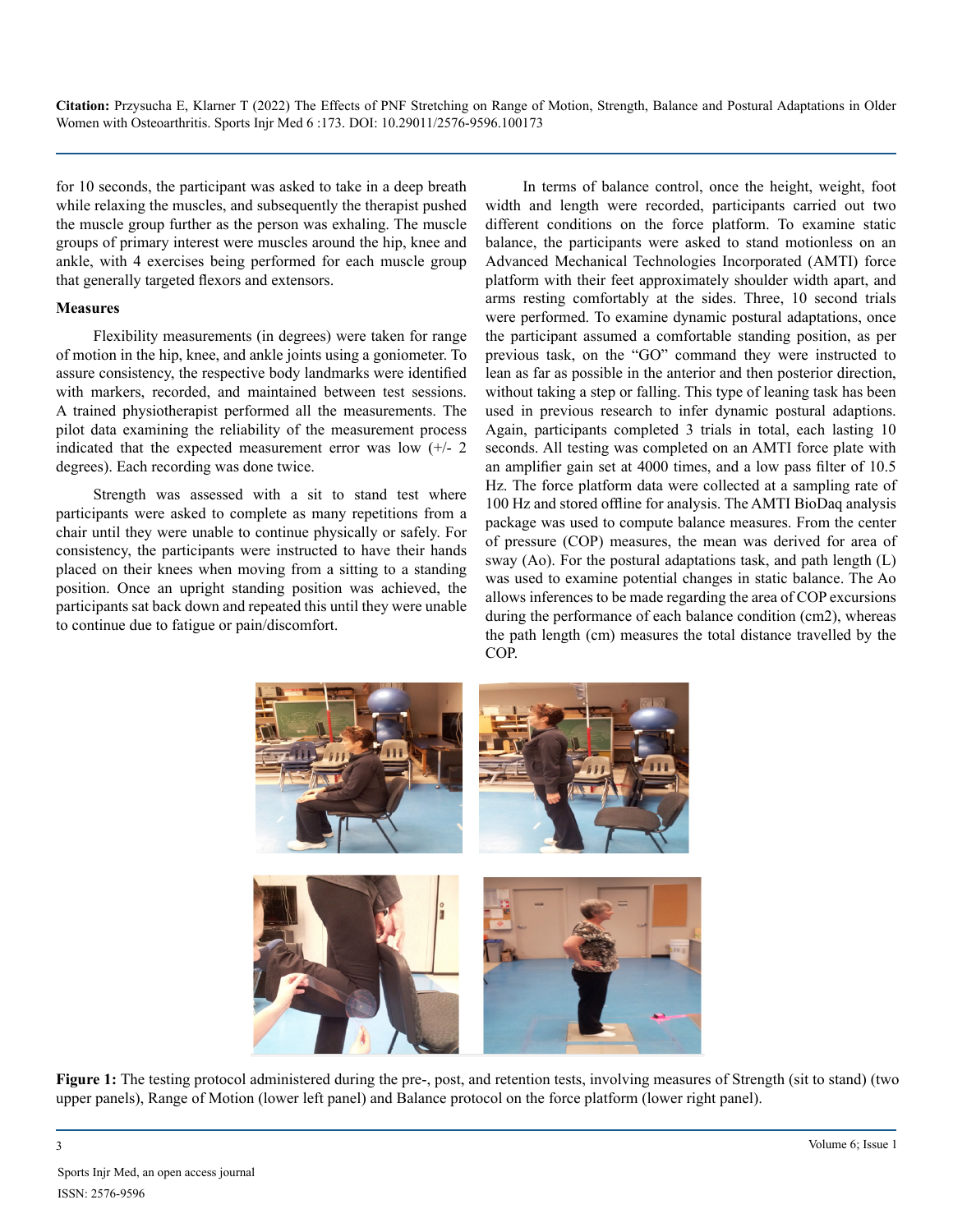for 10 seconds, the participant was asked to take in a deep breath while relaxing the muscles, and subsequently the therapist pushed the muscle group further as the person was exhaling. The muscle groups of primary interest were muscles around the hip, knee and ankle, with 4 exercises being performed for each muscle group that generally targeted flexors and extensors.

#### **Measures**

Flexibility measurements (in degrees) were taken for range of motion in the hip, knee, and ankle joints using a goniometer. To assure consistency, the respective body landmarks were identified with markers, recorded, and maintained between test sessions. A trained physiotherapist performed all the measurements. The pilot data examining the reliability of the measurement process indicated that the expected measurement error was low  $(+/- 2)$ degrees). Each recording was done twice.

Strength was assessed with a sit to stand test where participants were asked to complete as many repetitions from a chair until they were unable to continue physically or safely. For consistency, the participants were instructed to have their hands placed on their knees when moving from a sitting to a standing position. Once an upright standing position was achieved, the participants sat back down and repeated this until they were unable to continue due to fatigue or pain/discomfort.

In terms of balance control, once the height, weight, foot width and length were recorded, participants carried out two different conditions on the force platform. To examine static balance, the participants were asked to stand motionless on an Advanced Mechanical Technologies Incorporated (AMTI) force platform with their feet approximately shoulder width apart, and arms resting comfortably at the sides. Three, 10 second trials were performed. To examine dynamic postural adaptations, once the participant assumed a comfortable standing position, as per previous task, on the "GO" command they were instructed to lean as far as possible in the anterior and then posterior direction, without taking a step or falling. This type of leaning task has been used in previous research to infer dynamic postural adaptions. Again, participants completed 3 trials in total, each lasting 10 seconds. All testing was completed on an AMTI force plate with an amplifier gain set at 4000 times, and a low pass filter of 10.5 Hz. The force platform data were collected at a sampling rate of 100 Hz and stored offline for analysis. The AMTI BioDaq analysis package was used to compute balance measures. From the center of pressure (COP) measures, the mean was derived for area of sway (Ao). For the postural adaptations task, and path length (L) was used to examine potential changes in static balance. The Ao allows inferences to be made regarding the area of COP excursions during the performance of each balance condition (cm2), whereas the path length (cm) measures the total distance travelled by the COP.



**Figure 1:** The testing protocol administered during the pre-, post, and retention tests, involving measures of Strength (sit to stand) (two upper panels), Range of Motion (lower left panel) and Balance protocol on the force platform (lower right panel).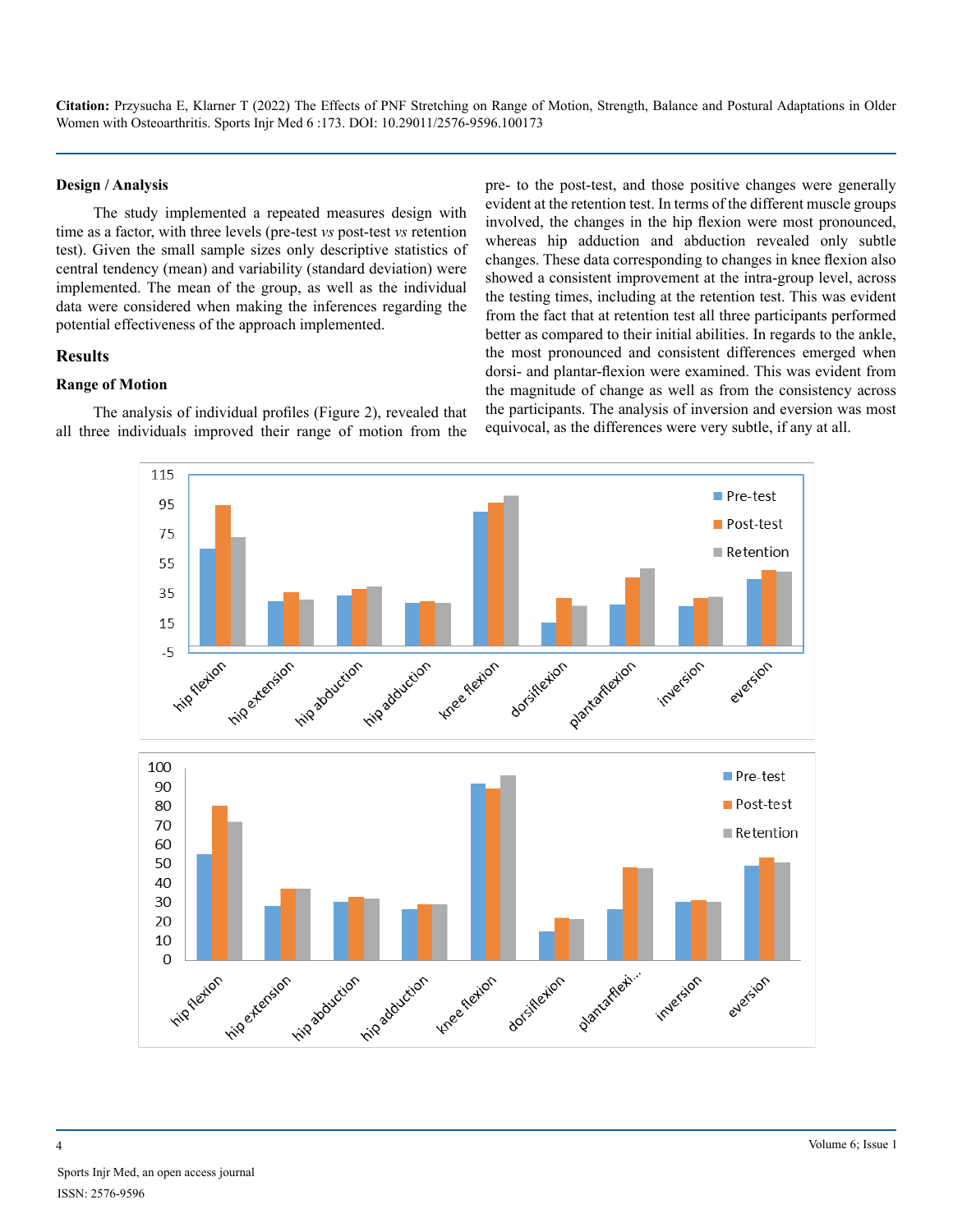#### **Design / Analysis**

The study implemented a repeated measures design with time as a factor, with three levels (pre-test *vs* post-test *vs* retention test). Given the small sample sizes only descriptive statistics of central tendency (mean) and variability (standard deviation) were implemented. The mean of the group, as well as the individual data were considered when making the inferences regarding the potential effectiveness of the approach implemented.

#### **Results**

#### **Range of Motion**

The analysis of individual profiles (Figure 2), revealed that all three individuals improved their range of motion from the pre- to the post-test, and those positive changes were generally evident at the retention test. In terms of the different muscle groups involved, the changes in the hip flexion were most pronounced, whereas hip adduction and abduction revealed only subtle changes. These data corresponding to changes in knee flexion also showed a consistent improvement at the intra-group level, across the testing times, including at the retention test. This was evident from the fact that at retention test all three participants performed better as compared to their initial abilities. In regards to the ankle, the most pronounced and consistent differences emerged when dorsi- and plantar-flexion were examined. This was evident from the magnitude of change as well as from the consistency across the participants. The analysis of inversion and eversion was most equivocal, as the differences were very subtle, if any at all.

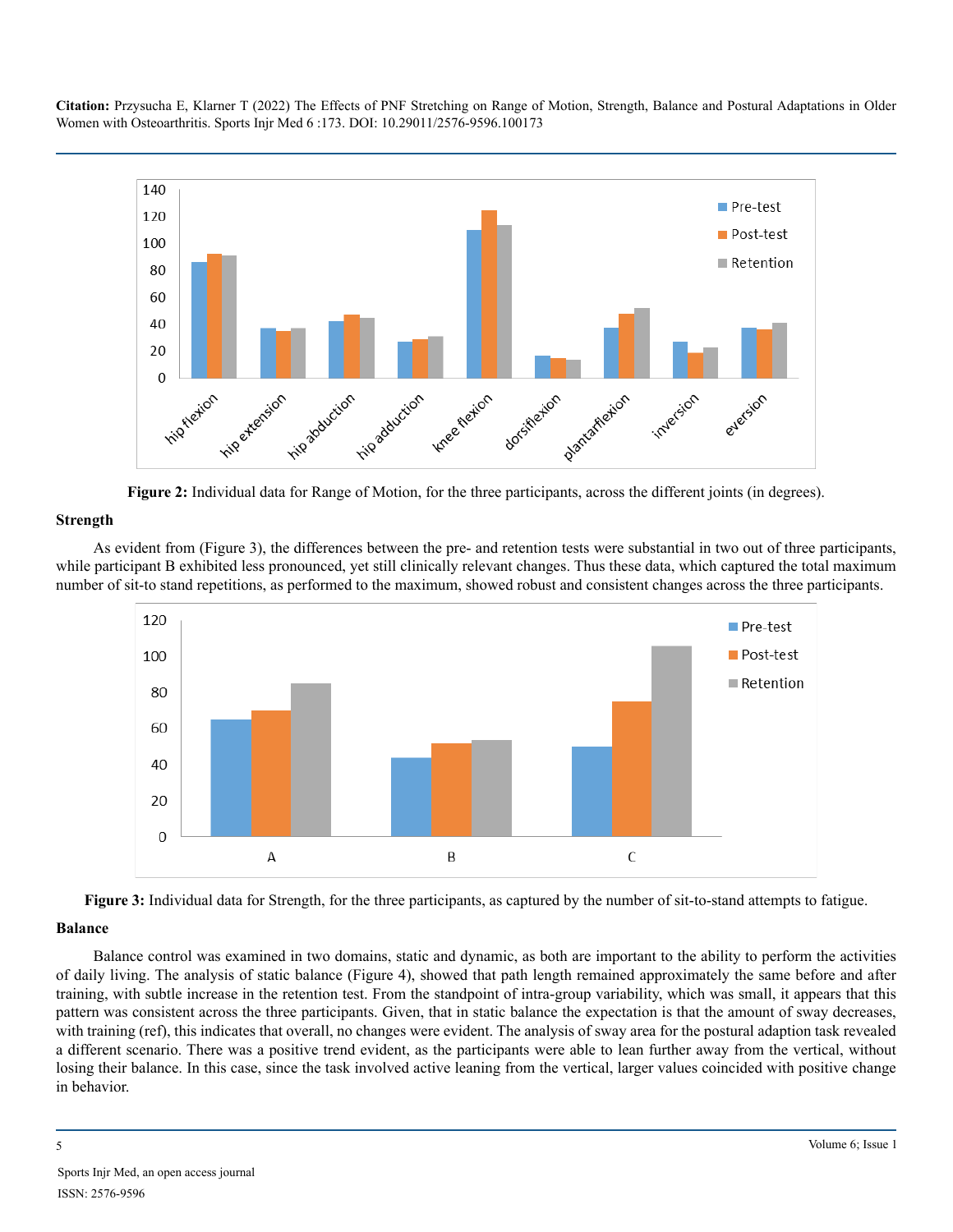

**Figure 2:** Individual data for Range of Motion, for the three participants, across the different joints (in degrees).

#### **Strength**

As evident from (Figure 3), the differences between the pre- and retention tests were substantial in two out of three participants, while participant B exhibited less pronounced, yet still clinically relevant changes. Thus these data, which captured the total maximum number of sit-to stand repetitions, as performed to the maximum, showed robust and consistent changes across the three participants.



**Figure 3:** Individual data for Strength, for the three participants, as captured by the number of sit-to-stand attempts to fatigue.

#### **Balance**

Balance control was examined in two domains, static and dynamic, as both are important to the ability to perform the activities of daily living. The analysis of static balance (Figure 4), showed that path length remained approximately the same before and after training, with subtle increase in the retention test. From the standpoint of intra-group variability, which was small, it appears that this pattern was consistent across the three participants. Given, that in static balance the expectation is that the amount of sway decreases, with training (ref), this indicates that overall, no changes were evident. The analysis of sway area for the postural adaption task revealed a different scenario. There was a positive trend evident, as the participants were able to lean further away from the vertical, without losing their balance. In this case, since the task involved active leaning from the vertical, larger values coincided with positive change in behavior.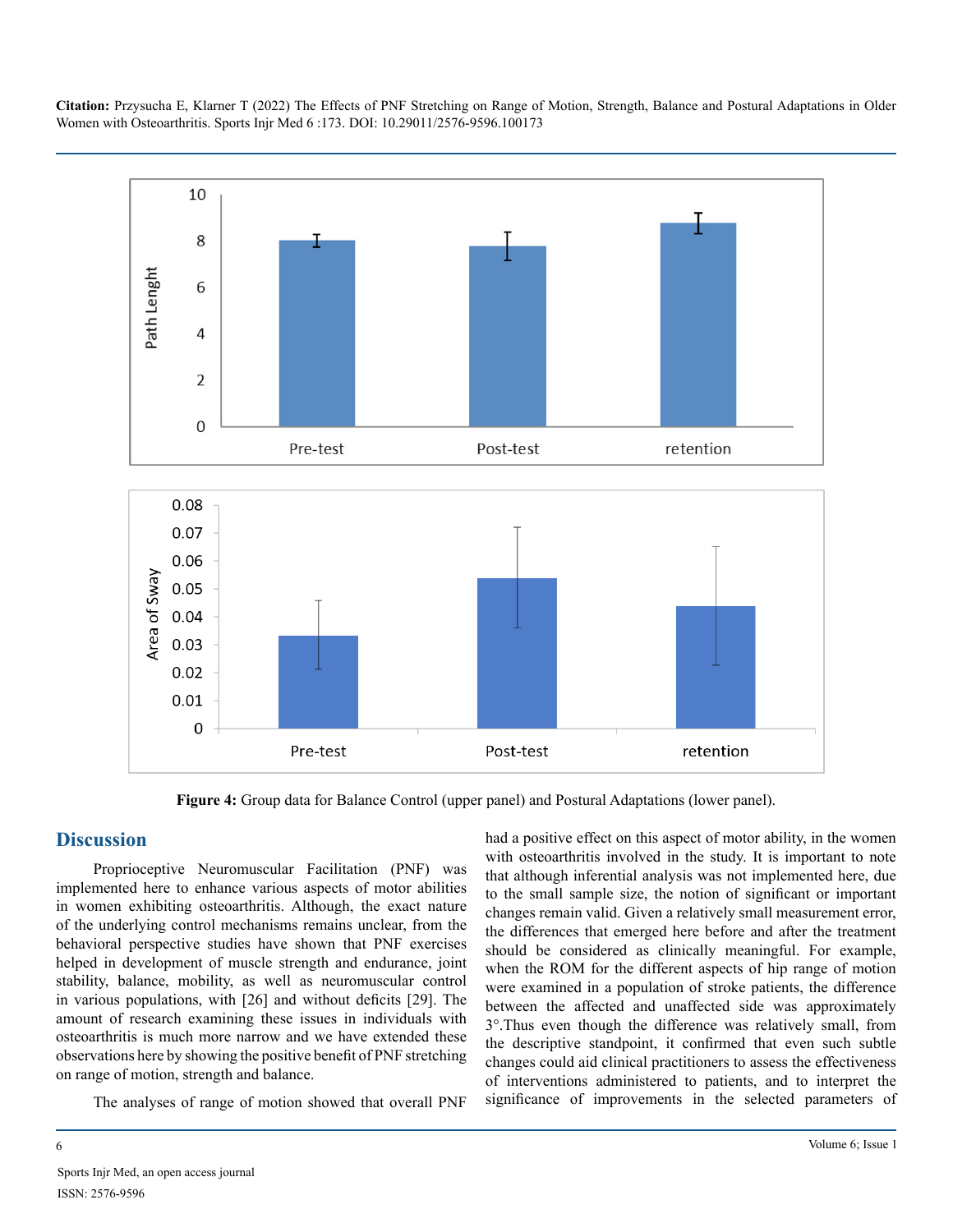

**Figure 4:** Group data for Balance Control (upper panel) and Postural Adaptations (lower panel).

#### **Discussion**

Proprioceptive Neuromuscular Facilitation (PNF) was implemented here to enhance various aspects of motor abilities in women exhibiting osteoarthritis. Although, the exact nature of the underlying control mechanisms remains unclear, from the behavioral perspective studies have shown that PNF exercises helped in development of muscle strength and endurance, joint stability, balance, mobility, as well as neuromuscular control in various populations, with [26] and without deficits [29]. The amount of research examining these issues in individuals with osteoarthritis is much more narrow and we have extended these observations here by showing the positive benefit of PNF stretching on range of motion, strength and balance.

The analyses of range of motion showed that overall PNF

had a positive effect on this aspect of motor ability, in the women with osteoarthritis involved in the study. It is important to note that although inferential analysis was not implemented here, due to the small sample size, the notion of significant or important changes remain valid. Given a relatively small measurement error, the differences that emerged here before and after the treatment should be considered as clinically meaningful. For example, when the ROM for the different aspects of hip range of motion were examined in a population of stroke patients, the difference between the affected and unaffected side was approximately 3°.Thus even though the difference was relatively small, from the descriptive standpoint, it confirmed that even such subtle changes could aid clinical practitioners to assess the effectiveness of interventions administered to patients, and to interpret the significance of improvements in the selected parameters of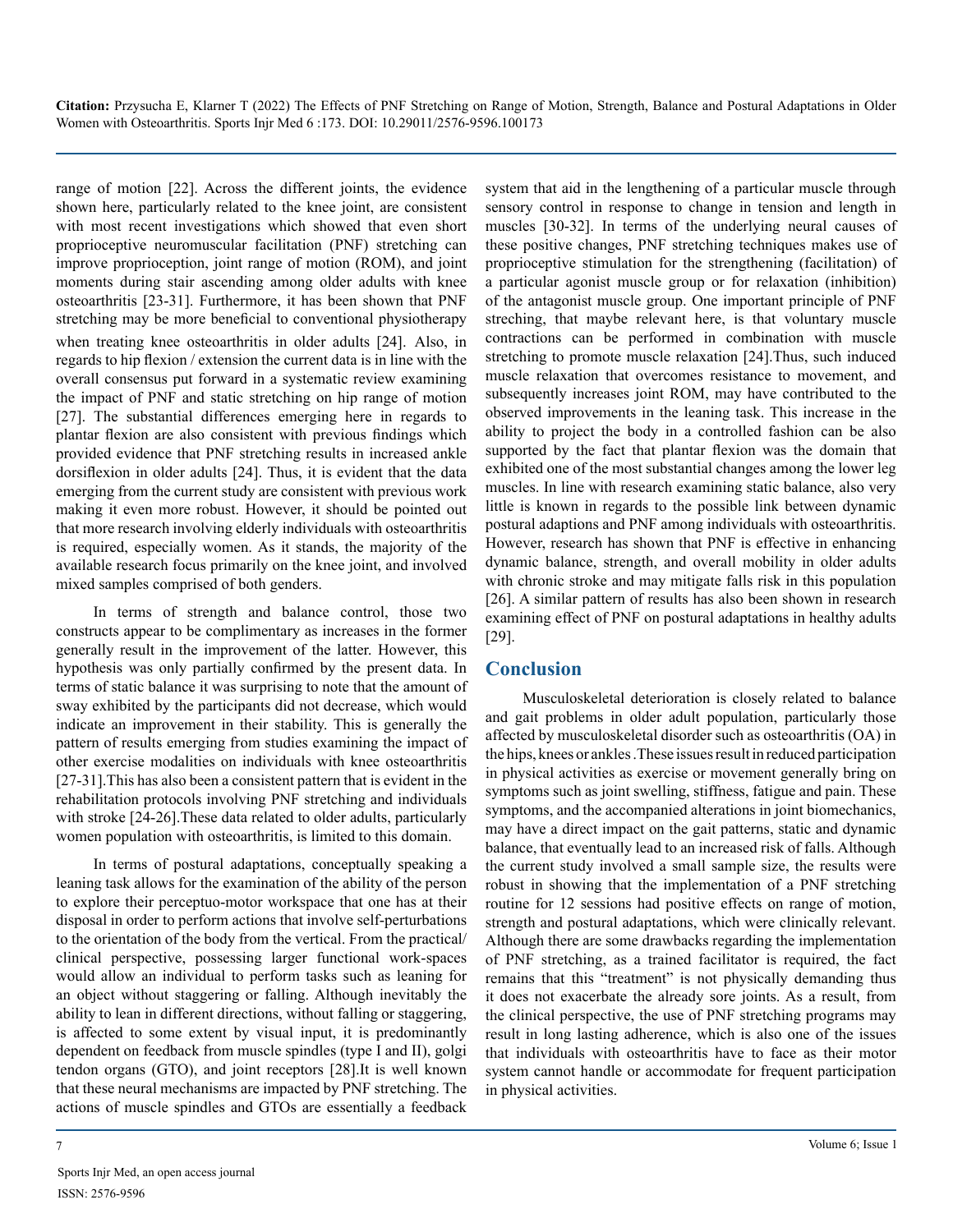range of motion [22]. Across the different joints, the evidence shown here, particularly related to the knee joint, are consistent with most recent investigations which showed that even short proprioceptive neuromuscular facilitation (PNF) stretching can improve proprioception, joint range of motion (ROM), and joint moments during stair ascending among older adults with knee osteoarthritis [23-31]. Furthermore, it has been shown that PNF stretching may be more beneficial to conventional physiotherapy when treating knee osteoarthritis in older adults [24]. Also, in regards to hip flexion / extension the current data is in line with the overall consensus put forward in a systematic review examining the impact of PNF and static stretching on hip range of motion [27]. The substantial differences emerging here in regards to plantar flexion are also consistent with previous findings which provided evidence that PNF stretching results in increased ankle dorsiflexion in older adults [24]. Thus, it is evident that the data emerging from the current study are consistent with previous work making it even more robust. However, it should be pointed out that more research involving elderly individuals with osteoarthritis is required, especially women. As it stands, the majority of the available research focus primarily on the knee joint, and involved mixed samples comprised of both genders.

In terms of strength and balance control, those two constructs appear to be complimentary as increases in the former generally result in the improvement of the latter. However, this hypothesis was only partially confirmed by the present data. In terms of static balance it was surprising to note that the amount of sway exhibited by the participants did not decrease, which would indicate an improvement in their stability. This is generally the pattern of results emerging from studies examining the impact of other exercise modalities on individuals with knee osteoarthritis [27-31].This has also been a consistent pattern that is evident in the rehabilitation protocols involving PNF stretching and individuals with stroke [24-26].These data related to older adults, particularly women population with osteoarthritis, is limited to this domain.

In terms of postural adaptations, conceptually speaking a leaning task allows for the examination of the ability of the person to explore their perceptuo-motor workspace that one has at their disposal in order to perform actions that involve self-perturbations to the orientation of the body from the vertical. From the practical/ clinical perspective, possessing larger functional work-spaces would allow an individual to perform tasks such as leaning for an object without staggering or falling. Although inevitably the ability to lean in different directions, without falling or staggering, is affected to some extent by visual input, it is predominantly dependent on feedback from muscle spindles (type I and II), golgi tendon organs (GTO), and joint receptors [28].It is well known that these neural mechanisms are impacted by PNF stretching. The actions of muscle spindles and GTOs are essentially a feedback system that aid in the lengthening of a particular muscle through sensory control in response to change in tension and length in muscles [30-32]. In terms of the underlying neural causes of these positive changes, PNF stretching techniques makes use of proprioceptive stimulation for the strengthening (facilitation) of a particular agonist muscle group or for relaxation (inhibition) of the antagonist muscle group. One important principle of PNF streching, that maybe relevant here, is that voluntary muscle contractions can be performed in combination with muscle stretching to promote muscle relaxation [24].Thus, such induced muscle relaxation that overcomes resistance to movement, and subsequently increases joint ROM, may have contributed to the observed improvements in the leaning task. This increase in the ability to project the body in a controlled fashion can be also supported by the fact that plantar flexion was the domain that exhibited one of the most substantial changes among the lower leg muscles. In line with research examining static balance, also very little is known in regards to the possible link between dynamic postural adaptions and PNF among individuals with osteoarthritis. However, research has shown that PNF is effective in enhancing dynamic balance, strength, and overall mobility in older adults with chronic stroke and may mitigate falls risk in this population [26]. A similar pattern of results has also been shown in research examining effect of PNF on postural adaptations in healthy adults [29].

### **Conclusion**

Musculoskeletal deterioration is closely related to balance and gait problems in older adult population, particularly those affected by musculoskeletal disorder such as osteoarthritis (OA) in the hips, knees or ankles .These issues result in reduced participation in physical activities as exercise or movement generally bring on symptoms such as joint swelling, stiffness, fatigue and pain. These symptoms, and the accompanied alterations in joint biomechanics, may have a direct impact on the gait patterns, static and dynamic balance, that eventually lead to an increased risk of falls. Although the current study involved a small sample size, the results were robust in showing that the implementation of a PNF stretching routine for 12 sessions had positive effects on range of motion, strength and postural adaptations, which were clinically relevant. Although there are some drawbacks regarding the implementation of PNF stretching, as a trained facilitator is required, the fact remains that this "treatment" is not physically demanding thus it does not exacerbate the already sore joints. As a result, from the clinical perspective, the use of PNF stretching programs may result in long lasting adherence, which is also one of the issues that individuals with osteoarthritis have to face as their motor system cannot handle or accommodate for frequent participation in physical activities.